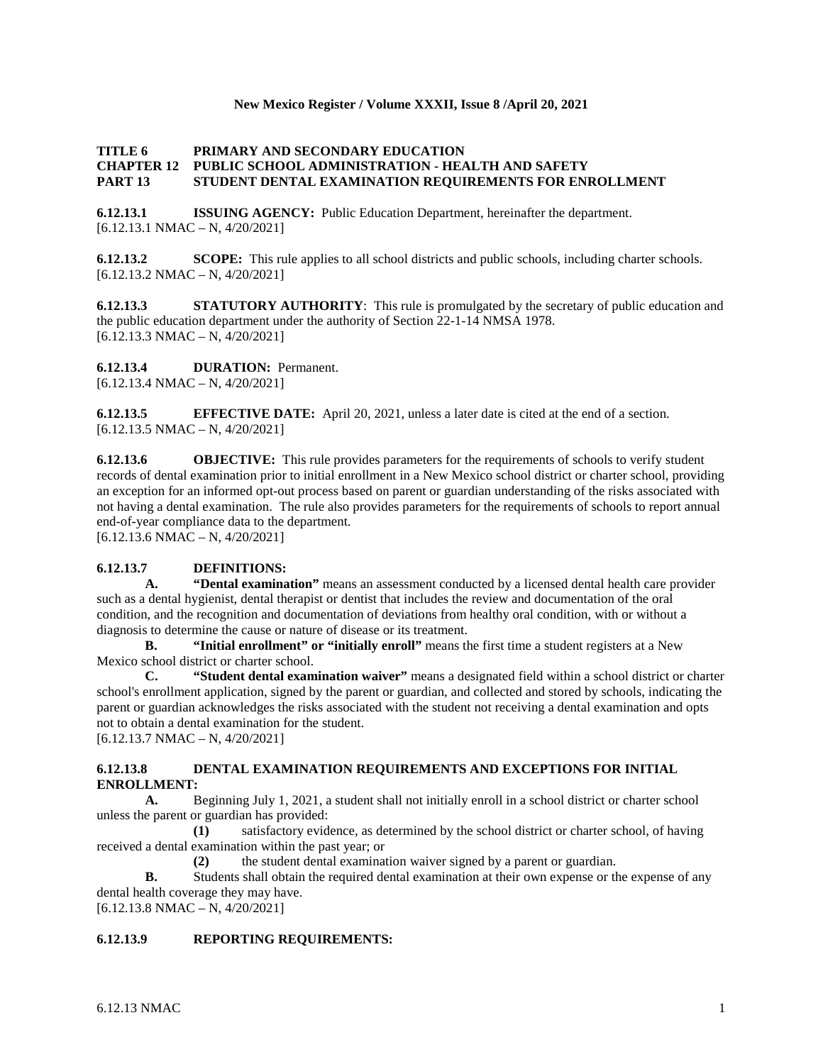## **New Mexico Register / Volume XXXII, Issue 8 /April 20, 2021**

## **TITLE 6 PRIMARY AND SECONDARY EDUCATION CHAPTER 12 PUBLIC SCHOOL ADMINISTRATION - HEALTH AND SAFETY PART 13 STUDENT DENTAL EXAMINATION REQUIREMENTS FOR ENROLLMENT**

**6.12.13.1 ISSUING AGENCY:** Public Education Department, hereinafter the department.  $[6.12.13.1 \text{ NMAC} - \text{N}, 4/20/2021]$ 

**6.12.13.2 SCOPE:** This rule applies to all school districts and public schools, including charter schools.  $[6.12.13.2 \text{ NMAC} - \text{N}, 4/20/2021]$ 

**6.12.13.3 STATUTORY AUTHORITY**: This rule is promulgated by the secretary of public education and the public education department under the authority of Section 22-1-14 NMSA 1978.  $[6.12.13.3 \text{ NMAC} - \text{N}, 4/20/2021]$ 

**6.12.13.4 DURATION:** Permanent.

[6.12.13.4 NMAC – N, 4/20/2021]

**6.12.13.5 EFFECTIVE DATE:** April 20, 2021, unless a later date is cited at the end of a section.  $[6.12.13.5 \text{ NMAC} - \text{N}, 4/20/2021]$ 

**6.12.13.6 OBJECTIVE:** This rule provides parameters for the requirements of schools to verify student records of dental examination prior to initial enrollment in a New Mexico school district or charter school, providing an exception for an informed opt-out process based on parent or guardian understanding of the risks associated with not having a dental examination. The rule also provides parameters for the requirements of schools to report annual end-of-year compliance data to the department.

 $[6.12.13.6 \text{ NMAC} - \text{N}, 4/20/2021]$ 

## **6.12.13.7 DEFINITIONS:**

**A. "Dental examination"** means an assessment conducted by a licensed dental health care provider such as a dental hygienist, dental therapist or dentist that includes the review and documentation of the oral condition, and the recognition and documentation of deviations from healthy oral condition, with or without a diagnosis to determine the cause or nature of disease or its treatment.

**B. "Initial enrollment" or "initially enroll"** means the first time a student registers at a New Mexico school district or charter school.

**C. "Student dental examination waiver"** means a designated field within a school district or charter school's enrollment application, signed by the parent or guardian, and collected and stored by schools, indicating the parent or guardian acknowledges the risks associated with the student not receiving a dental examination and opts not to obtain a dental examination for the student.

[6.12.13.7 NMAC – N, 4/20/2021]

## **6.12.13.8 DENTAL EXAMINATION REQUIREMENTS AND EXCEPTIONS FOR INITIAL ENROLLMENT:**

**A.** Beginning July 1, 2021, a student shall not initially enroll in a school district or charter school unless the parent or guardian has provided:

**(1)** satisfactory evidence, as determined by the school district or charter school, of having received a dental examination within the past year; or

**(2)** the student dental examination waiver signed by a parent or guardian.

**B.** Students shall obtain the required dental examination at their own expense or the expense of any dental health coverage they may have.

[6.12.13.8 NMAC – N, 4/20/2021]

## **6.12.13.9 REPORTING REQUIREMENTS:**